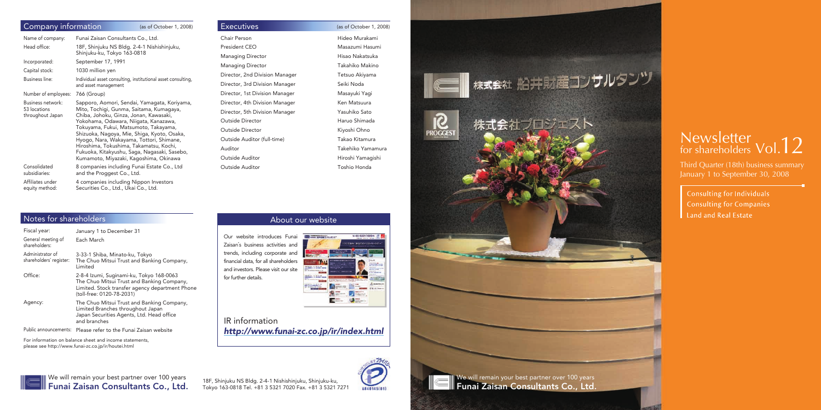### About our website

Our website introduces Funai Zaisan's business activities and trends, including corporate and financial data, for all shareholders and investors. Please visit our site for further details.



# IR information *http://www.funai-zc.co.jp/ir/index.html*





Third Quarter (18th) business summary January 1 to September 30, 2008

**Consulting for Individuals Consulting for Companies** Land and Real Estate

We will remain your best partner over 100 years Funai Zaisan Consultants Co., Ltd.

Tokyo 163-0818 Tel. +81 3 5321 7020 Fax. +81 3 5321 7271



18F, Shinjuku NS Bldg. 2-4-1 Nishishinjuku, Shinjuku-ku,<br>Tokyo 163-0818 Tel. +81 3 5321 7020 Fax. +81 3 5321 7271 18880145011 **Funai Zaisan Consultants Co., Ltd.** 

▌ 株式会社 船井財産コンサルタンツ

株式会社プロジェスト

# Newsletter<br>for shareholders Vol.12

| Company information                | (as of October 1, 2008)                                                                 | <b>Executives</b>              | (as of October 1, 2008) |
|------------------------------------|-----------------------------------------------------------------------------------------|--------------------------------|-------------------------|
| Name of company:                   | Funai Zaisan Consultants Co., Ltd.                                                      | Chair Person                   | Hideo Murakami          |
| Head office:                       | 18F, Shinjuku NS Bldg. 2-4-1 Nishishinjuku,                                             | President CEO                  | Masazumi Hasumi         |
|                                    | Shinjuku-ku, Tokyo 163-0818                                                             | <b>Managing Director</b>       | Hisao Nakatsuka         |
| Incorporated:                      | September 17, 1991                                                                      | <b>Managing Director</b>       | Takahiko Makino         |
| Capital stock:                     | 1030 million yen                                                                        | Director, 2nd Division Manager | Tetsuo Akiyama          |
| Business line:                     | Individual asset consulting, institutional asset consulting,<br>and asset management    | Director, 3rd Division Manager | Seiki Noda              |
| Number of employees:               | 766 (Group)                                                                             | Director, 1st Division Manager | Masayuki Yagi           |
| Business network:                  | Sapporo, Aomori, Sendai, Yamagata, Koriyama,                                            | Director, 4th Division Manager | Ken Matsuura            |
| 53 locations<br>throughout Japan   | Mito, Tochigi, Gunma, Saitama, Kumagaya,<br>Chiba, Johoku, Ginza, Jonan, Kawasaki,      | Director, 5th Division Manager | Yasuhiko Sato           |
|                                    | Yokohama, Odawara, Niigata, Kanazawa,                                                   | Outside Director               | Haruo Shimada           |
|                                    | Tokuyama, Fukui, Matsumoto, Takayama,<br>Shizuoka, Nagoya, Mie, Shiga, Kyoto, Osaka,    | Outside Director               | Kiyoshi Ohno            |
|                                    | Hyogo, Nara, Wakayama, Tottori, Shimane,                                                | Outside Auditor (full-time)    | Takao Kitamura          |
|                                    | Hiroshima, Tokushima, Takamatsu, Kochi,<br>Fukuoka, Kitakyushu, Saga, Nagasaki, Sasebo, | Auditor                        | Takehiko Yamamura       |
|                                    | Kumamoto, Miyazaki, Kagoshima, Okinawa                                                  | Outside Auditor                | Hiroshi Yamagishi       |
| Consolidated<br>subsidiaries:      | 8 companies including Funai Estate Co., Ltd<br>and the Proggest Co., Ltd.               | Outside Auditor                | Toshio Honda            |
| Affiliates under<br>equity method: | 4 companies including Nippon Investors<br>Securities Co., Ltd., Ukai Co., Ltd.          |                                |                         |

| <b>Executives</b>              | (as |
|--------------------------------|-----|
| Chair Person                   | Hi  |
| President CEO                  | M   |
| <b>Managing Director</b>       | Hi  |
| <b>Managing Director</b>       | Тέ  |
| Director, 2nd Division Manager | Т،  |
| Director, 3rd Division Manager | S٤  |
| Director, 1st Division Manager | M   |
| Director, 4th Division Manager | K٤  |
| Director, 5th Division Manager | Υa  |
| Outside Director               | H   |
| Outside Director               | Кi  |
| Outside Auditor (full-time)    | Тέ  |
| Auditor                        | Тέ  |
| Outside Auditor                | Hi  |
| Outside Auditor                | Т٥  |
|                                |     |

 $S_{ROCEST}$ 

### Notes for shareholders

| Fiscal year:                                | January 1 to December 31                                                                                                                                               |
|---------------------------------------------|------------------------------------------------------------------------------------------------------------------------------------------------------------------------|
| General meeting of<br>shareholders:         | Each March                                                                                                                                                             |
| Administrator of<br>shareholders' register: | 3-33-1 Shiba, Minato-ku, Tokyo<br>The Chuo Mitsui Trust and Banking Company,<br>Limited                                                                                |
| Office:                                     | 2-8-4 Izumi, Suginami-ku, Tokyo 168-0063<br>The Chuo Mitsui Trust and Banking Company,<br>Limited. Stock transfer agency department Phone<br>(toll-free: 0120-78-2031) |
| Agency:                                     | The Chuo Mitsui Trust and Banking Company,<br>Limited Branches throughout Japan<br>Japan Securities Agents, Ltd. Head office<br>and branches                           |

Public announcements: Please refer to the Funai Zaisan website

For information on balance sheet and income statements, please see http://www.funai-zc.co.jp/ir/houtei.html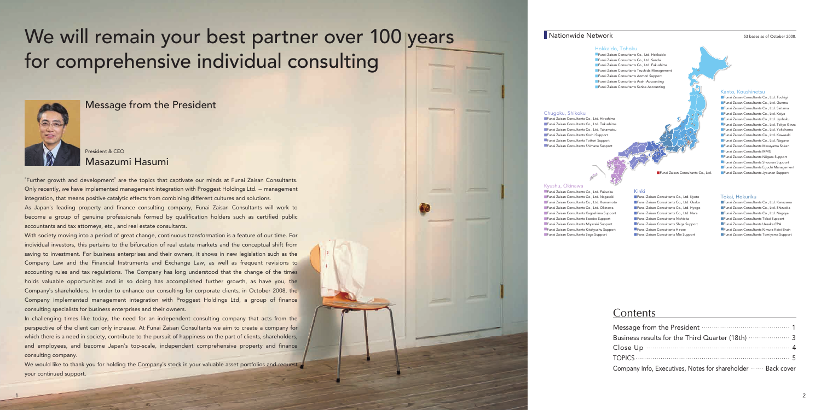

### **Nationwide Network** 63 bases as of October 2008

# We will remain your best partner over 100 years for comprehensive individual consulting



■Funai Zaisan Consultants Co., Ltd. Sendai ■Funai Zaisan Consultants Co., Ltd. Fukushima ■Funai Zaisan Consultants Tsuchida Management ■Funai Zaisan Consultants Aomori Support ■Funai Zaisan Consultants Asahi Accounting ■Funai Zaisan Consultants Sanbe Accounting

#### Hokkaido, Tohoku

#### Kyushu, Okinawa

- ■Funai Zaisan Consultants Co., Ltd. Kyoto
- ■Funai Zaisan Consultants Co., Ltd. Osaka ■Funai Zaisan Consultants Co., Ltd. Hyogo
- ■Funai Zaisan Consultants Co., Ltd. Nara
- ■Funai Zaisan Consultants Nishioka
- ■Funai Zaisan Consultants Shiga Support
- ■Funai Zaisan Consultants Hirose
- ■Funai Zaisan Consultants Mie Support

■Funai Zaisan Consultants Co., Ltd. Fukuoka ■Funai Zaisan Consultants Co., Ltd. Nagasaki ■Funai Zaisan Consultants Co., Ltd. Kumamoto ■Funai Zaisan Consultants Co., Ltd. Okinawa ■Funai Zaisan Consultants Kagoshima Support ■Funai Zaisan Consultants Sasebo Support ■Funai Zaisan Consultants Miyazaki Support ■Funai Zaisan Consultants Kitakyushu Support ■Funai Zaisan Consultants Saga Support

Kinki

# **Contents**

Message from Business results Close Up  $\cdot \cdot$  $TOPICS$  ....... Company Info,

■Funai Zaisan Consultants Co., Ltd. Hiroshima ■Funai Zaisan Consultants Co., Ltd. Tokushima ■Funai Zaisan Consultants Co., Ltd. Takamatsu ■Funai Zaisan Consultants Kochi Support ■Funai Zaisan Consultants Tottori Support ■Funai Zaisan Consultants Shimane Suppo

#### Kanto, Koushinetsu



| Funai Zaisan Consultants Co., Ltd. Tochiqi     |
|------------------------------------------------|
| Funai Zaisan Consultants Co., Ltd. Gunma       |
| Funai Zaisan Consultants Co., Ltd. Saitama     |
| Funai Zaisan Consultants Co., Ltd. Keiyo       |
| Funai Zaisan Consultants Co., Ltd. Jyohoku     |
| Funai Zaisan Consultants Co., Ltd. Tokyo Ginza |
| Funai Zaisan Consultants Co., Ltd. Yokohama    |
| Funai Zaisan Consultants Co., Ltd. Kawasaki    |
| Funai Zaisan Consultants Co., Ltd. Nagano      |
| Funai Zaisan Consultants Masuyama Soken        |
| Funai Zaisan Consultants MMG                   |
| Funai Zaisan Consultants Niigata Support       |
| Funai Zaisan Consultants Shounan Support       |
| Funai Zaisan Consultants Equchi Management     |
|                                                |

#### Chugoku, Shikoku

#### Tokai, Hokuriku

We would like to thank you for holding the Company's stock in your valuable asset portfolios and request your continued support.

| Funai Zaisan Consultants Co., Ltd. Kanazawa  |
|----------------------------------------------|
| Funai Zaisan Consultants Co., Ltd. Shizuoka  |
| Funai Zaisan Consultants Co., Ltd. Nagoya    |
| Funai Zaisan Consultants Tokai Support       |
| Funai Zaisan Consultants Uesaka CPA          |
| EFunai Zaisan Consultants Kimura Keiei Brain |
| Eunai Zaisan Consultants Tomiyama Support    |

| m the President model of the President of the University of the President of the University of the President |
|--------------------------------------------------------------------------------------------------------------|
|                                                                                                              |
|                                                                                                              |
|                                                                                                              |
| , Executives, Notes for shareholder  Back cover                                                              |

Message from the President

"Further growth and development" are the topics that captivate our minds at Funai Zaisan Consultants. Only recently, we have implemented management integration with Proggest Holdings Ltd. ̶ management integration, that means positive catalytic effects from combining different cultures and solutions. As Japan's leading property and finance consulting company, Funai Zaisan Consultants will work to become a group of genuine professionals formed by qualification holders such as certified public accountants and tax attorneys, etc., and real estate consultants.

With society moving into a period of great change, continuous transformation is a feature of our time. For individual investors, this pertains to the bifurcation of real estate markets and the conceptual shift from saving to investment. For business enterprises and their owners, it shows in new legislation such as the Company Law and the Financial Instruments and Exchange Law, as well as frequent revisions to accounting rules and tax regulations. The Company has long understood that the change of the times holds valuable opportunities and in so doing has accomplished further growth, as have you, the Company's shareholders. In order to enhance our consulting for corporate clients, in October 2008, the Company implemented management integration with Proggest Holdings Ltd, a group of finance consulting specialists for business enterprises and their owners.

In challenging times like today, the need for an independent consulting company that acts from the perspective of the client can only increase. At Funai Zaisan Consultants we aim to create a company for which there is a need in society, contribute to the pursuit of happiness on the part of clients, shareholders, and employees, and become Japan's top-scale, independent comprehensive property and finance consulting company.

## President & CEO Masazumi Hasumi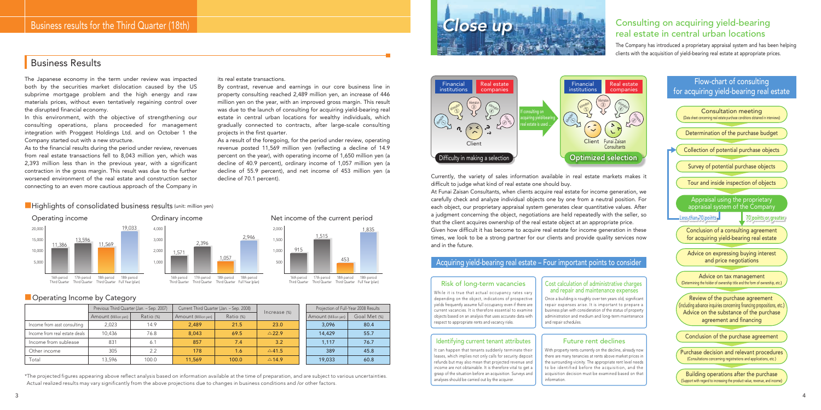The Company has introduced a proprietary appraisal system and has been helping clients with the acquisition of yield-bearing real estate at appropriate prices.

The Japanese economy in the term under review was impacted both by the securities market dislocation caused by the US subprime mortgage problem and the high energy and raw materials prices, without even tentatively regaining control over the disrupted financial economy.

In this environment, with the objective of strengthening our consulting operations, plans proceeded for management integration with Proggest Holdings Ltd. and on October 1 the Company started out with a new structure.

As to the financial results during the period under review, revenues from real estate transactions fell to 8,043 million yen, which was 2,393 million less than in the previous year, with a significant contraction in the gross margin. This result was due to the further worsened environment of the real estate and construction sector connecting to an even more cautious approach of the Company in

decline of 70.1 percent). Currently, the variety of sales information available in real estate markets makes it difficult to judge what kind of real estate one should buy.

its real estate transactions.

By contrast, revenue and earnings in our core business line in property consulting reached 2,489 million yen, an increase of 446 million yen on the year, with an improved gross margin. This result was due to the launch of consulting for acquiring yield-bearing real estate in central urban locations for wealthy individuals, which gradually connected to contracts, after large-scale consulting projects in the first quarter.

As a result of the foregoing, for the period under review, operating revenue posted 11,569 million yen (reflecting a decline of 14.9 percent on the year), with operating income of 1,650 million yen (a decline of 40.9 percent), ordinary income of 1,057 million yen (a decline of 55.9 percent), and net income of 453 million yen (a

> At Funai Zaisan Consultants, when clients acquire real estate for income generation, we carefully check and analyze individual objects one by one from a neutral position. For each object, our proprietary appraisal system generates clear quantitative values. After a judgment concerning the object, negotiations are held repeatedly with the seller, so that the client acquires ownership of the real estate object at an appropriate price. Given how difficult it has become to acquire real estate for income generation in these times, we look to be a strong partner for our clients and provide quality services now and in the future.



While it is true that actual occupancy rates vary depending on the object, indications of prospective yields frequently assume full occupancy even if there are current vacancies. It is therefore essential to examine objects based on an analysis that uses accurate data with respect to appropriate rents and vacancy risks.

## Business Results



# real estate in central urban locations

### Acquiring yield-bearing real estate – Four important points to consider



#### Risk of long-term vacancies

16th period 17th period 18th period 18th period Third Quarter Third Quarter Third Quarter Full Year (plan)

16th period 17th period 18th period 18th period Third Quarter Third Quarter Third Quarter Full Year (plan)



### ■ Operating Income by Category

|                               | Previous Third Quarter (Jan. - Sep. 2007) |           | Current Third Quarter (Jan. - Sep. 2008) |           |                  | Projection of Full-Year 2008 Results |              |  |
|-------------------------------|-------------------------------------------|-----------|------------------------------------------|-----------|------------------|--------------------------------------|--------------|--|
|                               | Amount (Million yen)                      | Ratio (%) | Amount (Million yen)                     | Ratio (%) | Increase (%)     | Amount (Million yen)                 | Goal Met (%) |  |
| Income from asst consulting   | 2,023                                     | 14.9      | 2.489                                    | 21.5      | 23.0             | 3.096                                | 80.4         |  |
| Income from real estate deals | 10.436                                    | 76.8      | 8.043                                    | 69.5      | $\triangle$ 22.9 | 14,429                               | 55.7         |  |
| Income from sublease          | 831                                       | 6.1       | 857                                      | 7.4       | 3.2              | 1.117                                | 76.7         |  |
| Other income                  | 305                                       | 2.2       | 178                                      | 1.6       | $\triangle$ 41.5 | 389                                  | 45.8         |  |
| Total                         | 13.596                                    | 100.0     | 11,569                                   | 100.0     | $\triangle$ 14.9 | 19,033                               | 60.8         |  |

Once a building is roughly over ten years old, significant repair expenses arise. It is important to prepare a business plan with consideration of the status of property administration and medium and long-term maintenance and repair schedules.

#### Cost calculation of administrative charges and repair and maintenance expenses

It can happen that tenants suddenly terminate their leases, which implies not only calls for security deposit refunds but may also mean that projected revenue and income are not obtainable. It is therefore vital to get a grasp of the situation before an acquisition. Surveys and analyses should be carried out by the acquirer.

#### Identifying current tenant attributes

With property rents currently on the decline, already now there are many tenancies at rents above market prices in the surrounding vicinity. The appropriate rent level needs to be identified before the acquisition, and the acquisition decision must be examined based on that information.

#### Future rent declines

1,571

2,946

2,396

1,057

Net income of the current period

500 1,000 1,500 2,000

915

1,835

1,515

### **■Highlights of consolidated business results (unit: million yen)**

453

\*The projected figures appearing above reflect analysis based on information available at the time of preparation, and are subject to various uncertainties. Actual realized results may vary significantly from the above projections due to changes in business conditions and /or other factors.